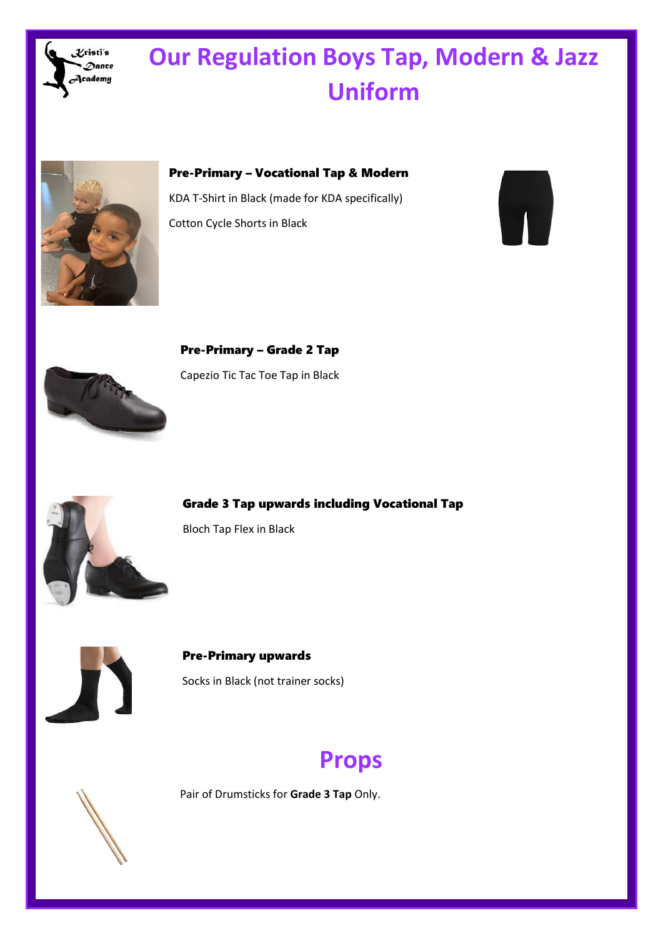

# **Our Regulation Boys Tap, Modern & Jazz Uniform**



Pre-Primary – Vocational Tap & Modern KDA T-Shirt in Black (made for KDA specifically) Cotton Cycle Shorts in Black





Pre-Primary – Grade 2 Tap Capezio Tic Tac Toe Tap in Black



Grade 3 Tap upwards including Vocational Tap

Bloch Tap Flex in Black



Pre-Primary upwards Socks in Black (not trainer socks)

### **Props**



Pair of Drumsticks for **Grade 3 Tap** Only.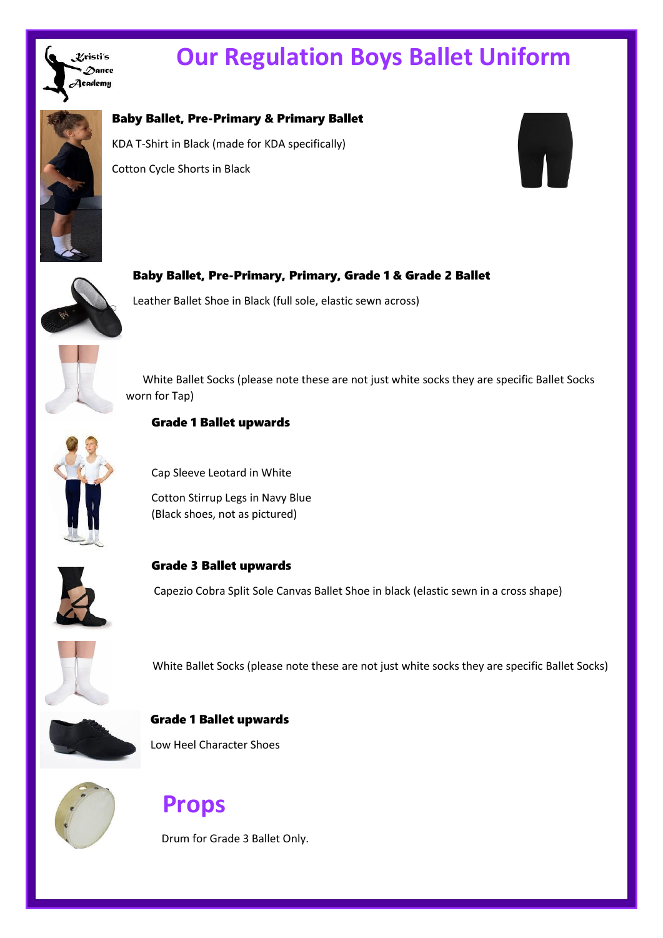

## **Our Regulation Boys Ballet Uniform**



#### Baby Ballet, Pre-Primary & Primary Ballet

KDA T-Shirt in Black (made for KDA specifically) Cotton Cycle Shorts in Black





Baby Ballet, Pre-Primary, Primary, Grade 1 & Grade 2 Ballet Leather Ballet Shoe in Black (full sole, elastic sewn across)

 White Ballet Socks (please note these are not just white socks they are specific Ballet Socks worn for Tap)



#### Grade 1 Ballet upwards

Cap Sleeve Leotard in White

Cotton Stirrup Legs in Navy Blue (Black shoes, not as pictured)



Grade 3 Ballet upwards

Capezio Cobra Split Sole Canvas Ballet Shoe in black (elastic sewn in a cross shape)



White Ballet Socks (please note these are not just white socks they are specific Ballet Socks)

Grade 1 Ballet upwards Low Heel Character Shoes



### **Props**

Drum for Grade 3 Ballet Only.